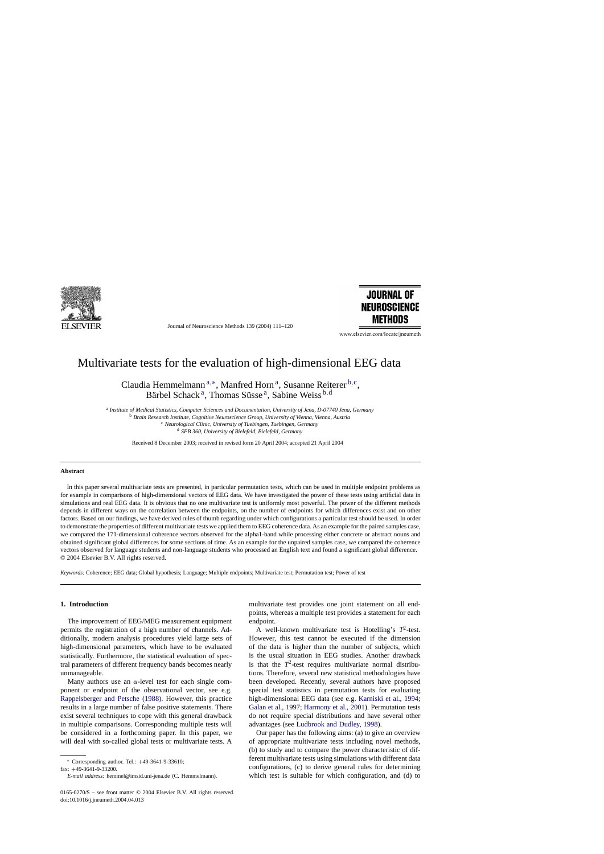<span id="page-0-0"></span>

Journal of Neuroscience Methods 139 (2004) 111–120



www.elsevier.com/locate/ineumeth

# Multivariate tests for the evaluation of high-dimensional EEG data

Claudia Hemmelmann<sup>a,\*</sup>, Manfred Horn<sup>a</sup>, Susanne Reiterer<sup>b,c</sup>, Bärbel Schack<sup>a</sup>, Thomas Süsse<sup>a</sup>, Sabine Weiss<sup>b,d</sup>

<sup>a</sup> *Institute of Medical Statistics, Computer Sciences and Documentation, University of Jena, D-07740 Jena, Germany*

<sup>b</sup> *Brain Research Institute, Cognitive Neuroscience Group, University of Vienna, Vienna, Austria*

<sup>c</sup> *Neurological Clinic, University of Tuebingen, Tuebingen, Germany*

<sup>d</sup> *SFB 360, University of Bielefeld, Bielefeld, Germany*

Received 8 December 2003; received in revised form 20 April 2004; accepted 21 April 2004

## **Abstract**

In this paper several multivariate tests are presented, in particular permutation tests, which can be used in multiple endpoint problems as for example in comparisons of high-dimensional vectors of EEG data. We have investigated the power of these tests using artificial data in simulations and real EEG data. It is obvious that no one multivariate test is uniformly most powerful. The power of the different methods depends in different ways on the correlation between the endpoints, on the number of endpoints for which differences exist and on other factors. Based on our findings, we have derived rules of thumb regarding under which configurations a particular test should be used. In order to demonstrate the properties of different multivariate tests we applied them to EEG coherence data. As an example for the paired samples case, we compared the 171-dimensional coherence vectors observed for the alpha1-band while processing either concrete or abstract nouns and obtained significant global differences for some sections of time. As an example for the unpaired samples case, we compared the coherence vectors observed for language students and non-language students who processed an English text and found a significant global difference. © 2004 Elsevier B.V. All rights reserved.

*Keywords:* Coherence; EEG data; Global hypothesis; Language; Multiple endpoints; Multivariate test; Permutation test; Power of test

# **1. Introduction**

The improvement of EEG/MEG measurement equipment permits the registration of a high number of channels. Additionally, modern analysis procedures yield large sets of high-dimensional parameters, which have to be evaluated statistically. Furthermore, the statistical evaluation of spectral parameters of different frequency bands becomes nearly unmanageable.

Many authors use an  $\alpha$ -level test for each single component or endpoint of the observational vector, see e.g. [Rappelsberger and Petsche \(1988\).](#page-9-0) However, this practice results in a large number of false positive statements. There exist several techniques to cope with this general drawback in multiple comparisons. Corresponding multiple tests will be considered in a forthcoming paper. In this paper, we will deal with so-called global tests or multivariate tests. A

fax: +49-3641-9-33200.

multivariate test provides one joint statement on all endpoints, whereas a multiple test provides a statement for each endpoint.

A well-known multivariate test is Hotelling's  $T^2$ -test. However, this test cannot be executed if the dimension of the data is higher than the number of subjects, which is the usual situation in EEG studies. Another drawback is that the  $T^2$ -test requires multivariate normal distributions. Therefore, several new statistical methodologies have been developed. Recently, several authors have proposed special test statistics in permutation tests for evaluating high-dimensional EEG data (see e.g. [Karniski et al., 1994;](#page-9-0) [Galan et al., 1997; Harmony et al., 2001\).](#page-9-0) Permutation tests do not require special distributions and have several other advantages (see [Ludbrook and Dudley, 1998\).](#page-9-0)

Our paper has the following aims: (a) to give an overview of appropriate multivariate tests including novel methods, (b) to study and to compare the power characteristic of different multivariate tests using simulations with different data configurations, (c) to derive general rules for determining which test is suitable for which configuration, and (d) to

<sup>∗</sup> Corresponding author. Tel.: +49-3641-9-33610;

*E-mail address:* hemmel@imsid.uni-jena.de (C. Hemmelmann).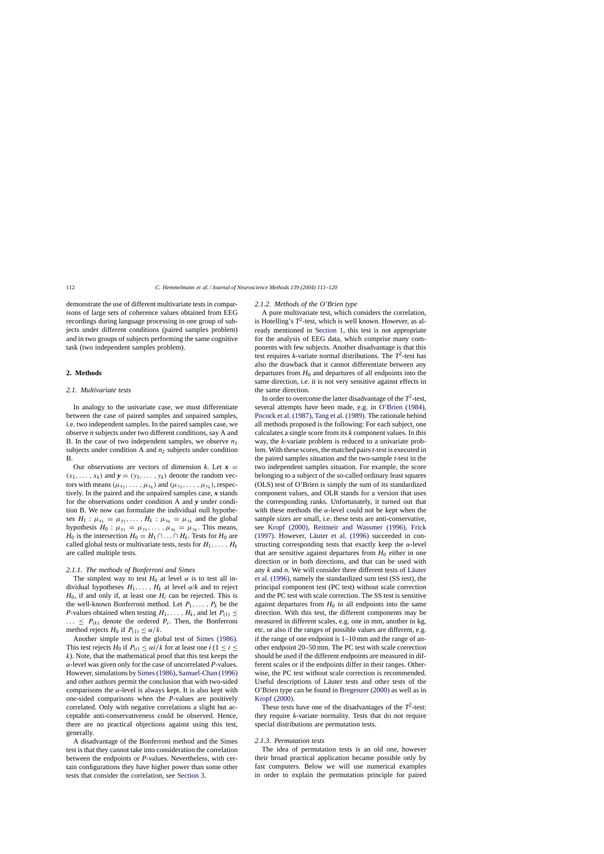<span id="page-1-0"></span>demonstrate the use of different multivariate tests in comparisons of large sets of coherence values obtained from EEG recordings during language processing in one group of subjects under different conditions (paired samples problem) and in two groups of subjects performing the same cognitive task (two independent samples problem).

## **2. Methods**

#### *2.1. Multivariate tests*

In analogy to the univariate case, we must differentiate between the case of paired samples and unpaired samples, i.e. two independent samples. In the paired samples case, we observe *n* subjects under two different conditions, say A and B. In the case of two independent samples, we observe  $n_1$ subjects under condition A and  $n_2$  subjects under condition B.

Our observations are vectors of dimension  $k$ . Let  $x =$  $(x_1, \ldots, x_k)$  and  $y = (y_1, \ldots, y_k)$  denote the random vectors with means  $(\mu_{x_1}, \ldots, \mu_{x_k})$  and  $(\mu_{y_1}, \ldots, \mu_{y_k})$ , respectively. In the paired and the unpaired samples case, *x* stands for the observations under condition A and *y* under condition B. We now can formulate the individual null hypotheses  $H_1$ :  $\mu_{x_1} = \mu_{y_1}, \dots, H_k$ :  $\mu_{x_k} = \mu_{y_k}$  and the global hypothesis  $H_0$ :  $\mu_{x_1} = \mu_{y_1}, \dots, \mu_{x_k} = \mu_{y_k}$ . This means, *H*<sub>0</sub> is the intersection  $H_0 = H_1 \cap ... \cap H_k$ . Tests for  $H_0$  are called global tests or multivariate tests, tests for  $H_1, \ldots, H_k$ are called multiple tests.

#### *2.1.1. The methods of Bonferroni and Simes*

The simplest way to test  $H_0$  at level  $\alpha$  is to test all individual hypotheses  $H_1, \ldots, H_k$  at level  $\alpha/k$  and to reject  $H_0$ , if and only if, at least one  $H_i$  can be rejected. This is the well-known Bonferroni method. Let  $P_1, \ldots, P_k$  be the *P*-values obtained when testing  $H_1, \ldots, H_k$ , and let  $P_{(1)} \leq$  $\ldots \leq P_{(k)}$  denote the ordered  $P_i$ . Then, the Bonferroni method rejects  $H_0$  if  $P_{(1)} \le \alpha/k$ .

Another simple test is the global test of [Simes \(1986\).](#page-9-0) This test rejects *H*<sup>0</sup> if  $P(i) \leq \alpha i / k$  for at least one  $i (1 \leq i \leq k)$  $k$ ). Note, that the mathematical proof that this test keeps the α-level was given only for the case of uncorrelated *P*-values. However, simulations by [Simes \(1986\),](#page-9-0) [Samuel-Chan \(1996\)](#page-9-0) and other authors permit the conclusion that with two-sided comparisons the  $\alpha$ -level is always kept. It is also kept with one-sided comparisons when the *P*-values are positively correlated. Only with negative correlations a slight but acceptable anti-conservativeness could be observed. Hence, there are no practical objections against using this test, generally.

A disadvantage of the Bonferroni method and the Simes test is that they cannot take into consideration the correlation between the endpoints or *P*-values. Nevertheless, with certain configurations they have higher power than some other tests that consider the correlation, see [Section 3.](#page-5-0)

#### *2.1.2. Methods of the O'Brien type*

A pure multivariate test, which considers the correlation, is Hotelling's  $T^2$ -test, which is well known. However, as already mentioned in [Section 1,](#page-0-0) this test is not appropriate for the analysis of EEG data, which comprise many components with few subjects. Another disadvantage is that this test requires *k*-variate normal distributions. The  $T^2$ -test has also the drawback that it cannot differentiate between any departures from  $H_0$  and departures of all endpoints into the same direction, i.e. it is not very sensitive against effects in the same direction.

In order to overcome the latter disadvantage of the  $T^2$ -test, several attempts have been made, e.g. in [O'Brien \(1984\),](#page-9-0) [Pocock et al. \(1987\),](#page-9-0) [Tang et al. \(1989\). T](#page-9-0)he rationale behind all methods proposed is the following: For each subject, one calculates a single score from its *k* component values. In this way, the *k*-variate problem is reduced to a univariate problem. With these scores, the matched pairs *t*-test is executed in the paired samples situation and the two-sample *t*-test in the two independent samples situation. For example, the score belonging to a subject of the so-called ordinary least squares (OLS) test of O'Brien is simply the sum of its standardized component values, and OLR stands for a version that uses the corresponding ranks. Unfortunately, it turned out that with these methods the  $\alpha$ -level could not be kept when the sample sizes are small, i.e. these tests are anti-conservative, see [Kropf \(2000\),](#page-9-0) [Reitmeir and Wassmer \(1996\)](#page-9-0), [Frick](#page-9-0) [\(1997\).](#page-9-0) However, [Läuter et al. \(1996\)](#page-9-0) succeeded in constructing corresponding tests that exactly keep the  $\alpha$ -level that are sensitive against departures from  $H_0$  either in one direction or in both directions, and that can be used with any *k* and *n*. We will consider three different tests of [Läuter](#page-9-0) [et al. \(1996\), n](#page-9-0)amely the standardized sum test (SS test), the principal component test (PC test) without scale correction and the PC test with scale correction. The SS test is sensitive against departures from  $H_0$  in all endpoints into the same direction. With this test, the different components may be measured in different scales, e.g. one in mm, another in kg, etc. or also if the ranges of possible values are different, e.g. if the range of one endpoint is 1–10 mm and the range of another endpoint 20–50 mm. The PC test with scale correction should be used if the different endpoints are measured in different scales or if the endpoints differ in their ranges. Otherwise, the PC test without scale correction is recommended. Useful descriptions of Läuter tests and other tests of the O'Brien type can be found in [Bregenzer \(2000\)](#page-9-0) as well as in [Kropf \(2000\).](#page-9-0)

These tests have one of the disadvantages of the  $T^2$ -test: they require *k*-variate normality. Tests that do not require special distributions are permutation tests.

## *2.1.3. Permutation tests*

The idea of permutation tests is an old one, however their broad practical application became possible only by fast computers. Below we will use numerical examples in order to explain the permutation principle for paired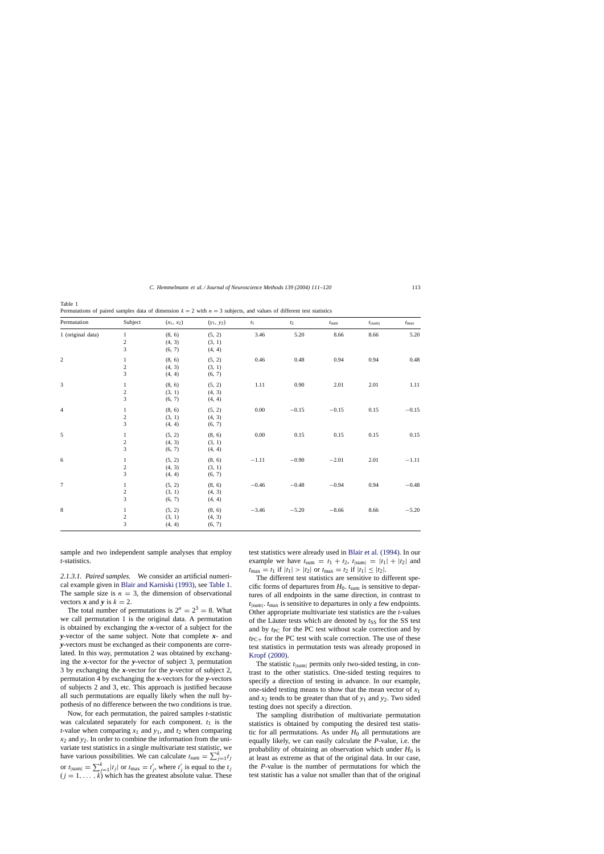| Table 1                                                                                                                 |  |  |  |  |
|-------------------------------------------------------------------------------------------------------------------------|--|--|--|--|
| Permutations of paired samples data of dimension $k = 2$ with $n = 3$ subjects, and values of different test statistics |  |  |  |  |

| Permutation       | Subject                                      | $(x_1, x_2)$               | $(y_1, y_2)$               | $t_1$    | $t_2$    | $t_{\text{sum}}$ | $t_{\text{sum}}$ | $t_{\rm max}$ |
|-------------------|----------------------------------------------|----------------------------|----------------------------|----------|----------|------------------|------------------|---------------|
| 1 (original data) | $\mathbf{1}$<br>$\sqrt{2}$<br>$\overline{3}$ | (8, 6)<br>(4, 3)<br>(6, 7) | (5, 2)<br>(3, 1)<br>(4, 4) | 3.46     | 5.20     | 8.66             | 8.66             | 5.20          |
| 2                 | 1<br>$\,2$<br>$\overline{3}$                 | (8, 6)<br>(4, 3)<br>(4, 4) | (5, 2)<br>(3, 1)<br>(6, 7) | 0.46     | 0.48     | 0.94             | 0.94             | $0.48\,$      |
| $\mathbf{3}$      | 1<br>$\overline{c}$<br>3                     | (8, 6)<br>(3, 1)<br>(6, 7) | (5, 2)<br>(4, 3)<br>(4, 4) | 1.11     | 0.90     | 2.01             | 2.01             | 1.11          |
| $\overline{4}$    | 1<br>$\sqrt{2}$<br>$\overline{3}$            | (8, 6)<br>(3, 1)<br>(4, 4) | (5, 2)<br>(4, 3)<br>(6, 7) | 0.00     | $-0.15$  | $-0.15$          | 0.15             | $-0.15$       |
| 5                 | $\mathbf{1}$<br>$\sqrt{2}$<br>3              | (5, 2)<br>(4, 3)<br>(6, 7) | (8, 6)<br>(3, 1)<br>(4, 4) | $0.00\,$ | $0.15\,$ | 0.15             | $0.15\,$         | $0.15\,$      |
| 6                 | $\mathbf{1}$<br>$\sqrt{2}$<br>3              | (5, 2)<br>(4, 3)<br>(4, 4) | (8, 6)<br>(3, 1)<br>(6, 7) | $-1.11$  | $-0.90$  | $-2.01$          | 2.01             | $-1.11$       |
| $\tau$            | 1<br>$\sqrt{2}$<br>3                         | (5, 2)<br>(3, 1)<br>(6, 7) | (8, 6)<br>(4, 3)<br>(4, 4) | $-0.46$  | $-0.48$  | $-0.94$          | 0.94             | $-0.48$       |
| 8                 | $\mathbf{1}$<br>$\sqrt{2}$<br>$\overline{3}$ | (5, 2)<br>(3, 1)<br>(4, 4) | (8, 6)<br>(4, 3)<br>(6, 7) | $-3.46$  | $-5.20$  | $-8.66$          | 8.66             | $-5.20$       |

sample and two independent sample analyses that employ *t*-statistics.

*2.1.3.1. Paired samples.* We consider an artificial numerical example given in [Blair and Karniski \(1993\), s](#page-9-0)ee Table 1. The sample size is  $n = 3$ , the dimension of observational vectors  $x$  and  $y$  is  $k = 2$ .

The total number of permutations is  $2^n = 2^3 = 8$ . What we call permutation 1 is the original data. A permutation is obtained by exchanging the *x*-vector of a subject for the *y*-vector of the same subject. Note that complete *x*- and *y*-vectors must be exchanged as their components are correlated. In this way, permutation 2 was obtained by exchanging the *x*-vector for the *y*-vector of subject 3, permutation 3 by exchanging the *x*-vector for the *y*-vector of subject 2, permutation 4 by exchanging the *x*-vectors for the *y*-vectors of subjects 2 and 3, etc. This approach is justified because all such permutations are equally likely when the null hypothesis of no difference between the two conditions is true.

Now, for each permutation, the paired samples *t*-statistic was calculated separately for each component.  $t_1$  is the *t*-value when comparing  $x_1$  and  $y_1$ , and  $t_2$  when comparing *x*<sup>2</sup> and *y*2. In order to combine the information from the univariate test statistics in a single multivariate test statistic, we have various possibilities. We can calculate  $t_{\text{sum}} = \sum_{j=1}^{k} t_j$ or  $t_{\text{sum}} = \sum_{j=1}^{k} |t_j|$  or  $t_{\text{max}} = t'_j$ , where  $t'_j$  is equal to the  $t_j$  $(j = 1, \ldots, k)$  which has the greatest absolute value. These test statistics were already used in [Blair et al. \(1994\). I](#page-9-0)n our example we have  $t_{\text{sum}} = t_1 + t_2$ ,  $t_{\text{sum}} = |t_1| + |t_2|$  and  $t_{\text{max}} = t_1$  if  $|t_1| > |t_2|$  or  $t_{\text{max}} = t_2$  if  $|t_1| \leq |t_2|$ .

The different test statistics are sensitive to different specific forms of departures from *H*0. *t*sum is sensitive to departures of all endpoints in the same direction, in contrast to  $t_{\text{sum}}$ .  $t_{\text{max}}$  is sensitive to departures in only a few endpoints. Other appropriate multivariate test statistics are the *t*-values of the Läuter tests which are denoted by  $t_{SS}$  for the SS test and by *t*<sub>PC</sub> for the PC test without scale correction and by *t*PC<sup>+</sup> for the PC test with scale correction. The use of these test statistics in permutation tests was already proposed in [Kropf \(2000\).](#page-9-0)

The statistic  $t_{\text{sum}}$  permits only two-sided testing, in contrast to the other statistics. One-sided testing requires to specify a direction of testing in advance. In our example, one-sided testing means to show that the mean vector of *x*<sup>1</sup> and  $x_2$  tends to be greater than that of  $y_1$  and  $y_2$ . Two sided testing does not specify a direction.

The sampling distribution of multivariate permutation statistics is obtained by computing the desired test statistic for all permutations. As under  $H_0$  all permutations are equally likely, we can easily calculate the *P*-value, i.e. the probability of obtaining an observation which under  $H_0$  is at least as extreme as that of the original data. In our case, the *P*-value is the number of permutations for which the test statistic has a value not smaller than that of the original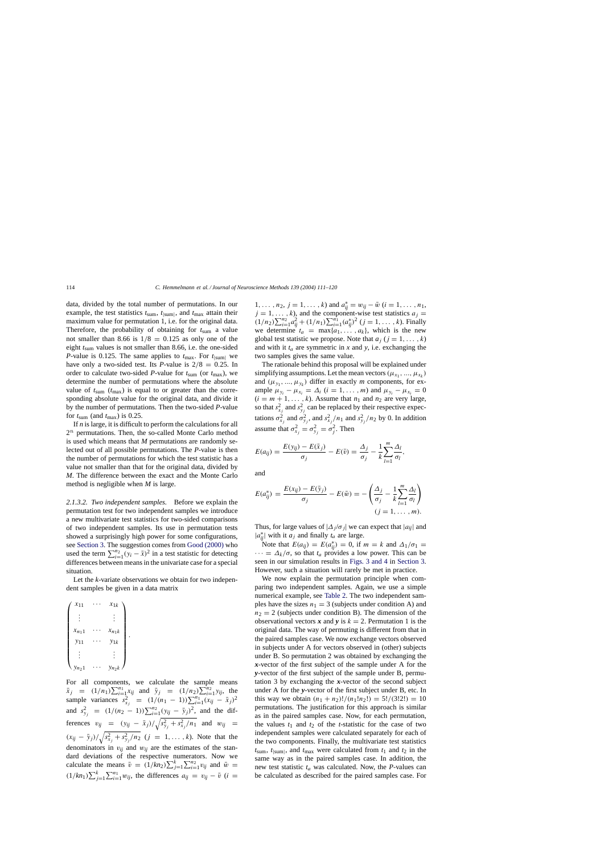<span id="page-3-0"></span>data, divided by the total number of permutations. In our example, the test statistics  $t_{\text{sum}}$ ,  $t_{\text{sum}}$ , and  $t_{\text{max}}$  attain their maximum value for permutation 1, i.e. for the original data. Therefore, the probability of obtaining for *t*sum a value not smaller than 8.66 is  $1/8 = 0.125$  as only one of the eight *t*sum values is not smaller than 8.66, i.e. the one-sided *P*-value is 0.125. The same applies to  $t_{\text{max}}$ . For  $t_{\text{sum}}$  we have only a two-sided test. Its *P*-value is  $2/8 = 0.25$ . In order to calculate two-sided *P*-value for  $t_{\text{sum}}$  (or  $t_{\text{max}}$ ), we determine the number of permutations where the absolute value of  $t_{\text{sum}}$  ( $t_{\text{max}}$ ) is equal to or greater than the corresponding absolute value for the original data, and divide it by the number of permutations. Then the two-sided *P*-value for  $t_{\text{sum}}$  (and  $t_{\text{max}}$ ) is 0.25.

If *n* is large, it is difficult to perform the calculations for all  $2<sup>n</sup>$  permutations. Then, the so-called Monte Carlo method is used which means that *M* permutations are randomly selected out of all possible permutations. The *P*-value is then the number of permutations for which the test statistic has a value not smaller than that for the original data, divided by *M*. The difference between the exact and the Monte Carlo method is negligible when *M* is large.

*2.1.3.2. Two independent samples.* Before we explain the permutation test for two independent samples we introduce a new multivariate test statistics for two-sided comparisons of two independent samples. Its use in permutation tests showed a surprisingly high power for some configurations, see [Section 3. T](#page-5-0)he suggestion comes from [Good \(2000\)](#page-9-0) who used the term  $\sum_{i=1}^{n_2} (y_i - \bar{x})^2$  in a test statistic for detecting differences between means in the univariate case for a special situation.

Let the *k*-variate observations we obtain for two independent samples be given in a data matrix

$$
\begin{pmatrix}\n x_{11} & \cdots & x_{1k} \\
\vdots & & \vdots \\
x_{n_1 1} & \cdots & x_{n_1 k} \\
y_{11} & \cdots & y_{1k} \\
\vdots & & \vdots \\
y_{n_2 1} & \cdots & y_{n_2 k}\n\end{pmatrix}.
$$

For all components, we calculate the sample means  $\bar{x}_j = (1/n_1) \sum_{i=1}^{n_1} x_{ij}$  and  $\bar{y}_j = (1/n_2) \sum_{i=1}^{n_2} y_{ij}$ , the sample variances  $s_{x_j}^2 = (1/(n_1 - 1)) \sum_{i=1}^{n_1} (x_{ij} - \bar{x}_j)^2$ and  $s_{y_j}^2 = (1/(n_2 - 1))\sum_{i=1}^{n_2} (y_{ij} - \bar{y}_j)^2$ , and the differences  $v_{ij} = (y_{ij} - \bar{x}_j) / \sqrt{s_{y}^2 + s_{x_j}^2 / n_1}$  and  $w_{ij} =$  $(x_{ij} - \bar{y}_j)/\sqrt{s_{x_j}^2 + s_{y_j}^2/n_2}$  (*j* = 1, ..., *k*). Note that the denominators in  $v_{ij}$  and  $w_{ij}$  are the estimates of the standard deviations of the respective numerators. Now we calculate the means  $\bar{v} = (1/kn_2) \sum_{j=1}^k \sum_{i=1}^{n_2} v_{ij}$  and  $\bar{w} =$  $(1/kn_1)\sum_{j=1}^k\sum_{i=1}^{n_1}w_{ij}$ , the differences  $a_{ij} = v_{ij} - \bar{v}$  (*i* =

1,...,  $n_2$ ,  $j = 1, \ldots, k$ ) and  $a_{ij}^* = w_{ij} - \bar{w}$  ( $i = 1, \ldots, n_1$ ,  $j = 1, \ldots, k$ , and the component-wise test statistics  $a_j =$  $(1/n_2)\sum_{i=1}^{n_2} a_{ij}^2 + (1/n_1)\sum_{i=1}^{n_1} (a_{ij}^*)^2$  (*j* = 1, ..., *k*). Finally we determine  $t_a = \max\{a_1, \ldots, a_k\}$ , which is the new global test statistic we propose. Note that  $a_j$  ( $j = 1, \ldots, k$ ) and with it  $t_a$  are symmetric in  $x$  and  $y$ , i.e. exchanging the two samples gives the same value.

The rationale behind this proposal will be explained under simplifying assumptions. Let the mean vectors ( $\mu_{x_1}, ..., \mu_{x_k}$ ) and  $(\mu_{y_1}, ..., \mu_{y_k})$  differ in exactly *m* components, for example  $\mu_{y_i} - \mu_{x_i} = \Delta_i$  (i = 1, ..., m) and  $\mu_{y_i} - \mu_{x_i} = 0$  $(i = m + 1, \ldots, k)$ . Assume that  $n_1$  and  $n_2$  are very large, so that  $s_{x_j}^2$  and  $s_{y_j}^2$  can be replaced by their respective expectations  $\sigma_{x_j}^2$  and  $\sigma_{y_j}^2$ , and  $s_{x_j}^2/n_1$  and  $s_{y_j}^2/n_2$  by 0. In addition assume that  $\sigma_{x_j}^2 = \sigma_{y_j}^2 = \sigma_j^2$ . Then

$$
E(a_{ij}) = \frac{E(y_{ij}) - E(\bar{x}_j)}{\sigma_j} - E(\bar{v}) = \frac{\Delta_j}{\sigma_j} - \frac{1}{k} \sum_{l=1}^{m} \frac{\Delta_l}{\sigma_l},
$$

and

$$
E(a_{ij}^*) = \frac{E(x_{ij}) - E(\bar{y}_j)}{\sigma_j} - E(\bar{w}) = -\left(\frac{\Delta_j}{\sigma_j} - \frac{1}{k} \sum_{l=1}^m \frac{\Delta_l}{\sigma_l}\right) \quad (j = 1, \dots, m).
$$

Thus, for large values of  $|\Delta_j/\sigma_j|$  we can expect that  $|a_{ij}|$  and  $|a_{ij}^*|$  with it  $a_j$  and finally  $t_a$  are large.

Note that  $E(a_{ij}) = E(a_{ij}^*) = 0$ , if  $m = k$  and  $\Delta_1/\sigma_1 =$  $\cdots = \Delta_k/\sigma$ , so that  $t_a$  provides a low power. This can be seen in our simulation results in [Figs. 3 and 4](#page-6-0) in [Section 3.](#page-5-0) However, such a situation will rarely be met in practice.

We now explain the permutation principle when comparing two independent samples. Again, we use a simple numerical example, see [Table 2.](#page-4-0) The two independent samples have the sizes  $n_1 = 3$  (subjects under condition A) and  $n_2 = 2$  (subjects under condition B). The dimension of the observational vectors x and y is  $k = 2$ . Permutation 1 is the original data. The way of permuting is different from that in the paired samples case. We now exchange vectors observed in subjects under A for vectors observed in (other) subjects under B. So permutation 2 was obtained by exchanging the *x*-vector of the first subject of the sample under A for the *y*-vector of the first subject of the sample under B, permutation 3 by exchanging the *x*-vector of the second subject under A for the *y*-vector of the first subject under B, etc. In this way we obtain  $(n_1 + n_2)!/(n_1!n_2!) = 5!/(3!2!) = 10$ permutations. The justification for this approach is similar as in the paired samples case. Now, for each permutation, the values  $t_1$  and  $t_2$  of the *t*-statistic for the case of two independent samples were calculated separately for each of the two components. Finally, the multivariate test statistics  $t_{\text{sum}}$ ,  $t_{\text{sum}}$ , and  $t_{\text{max}}$  were calculated from  $t_1$  and  $t_2$  in the same way as in the paired samples case. In addition, the new test statistic *t*<sup>a</sup> was calculated. Now, the *P*-values can be calculated as described for the paired samples case. For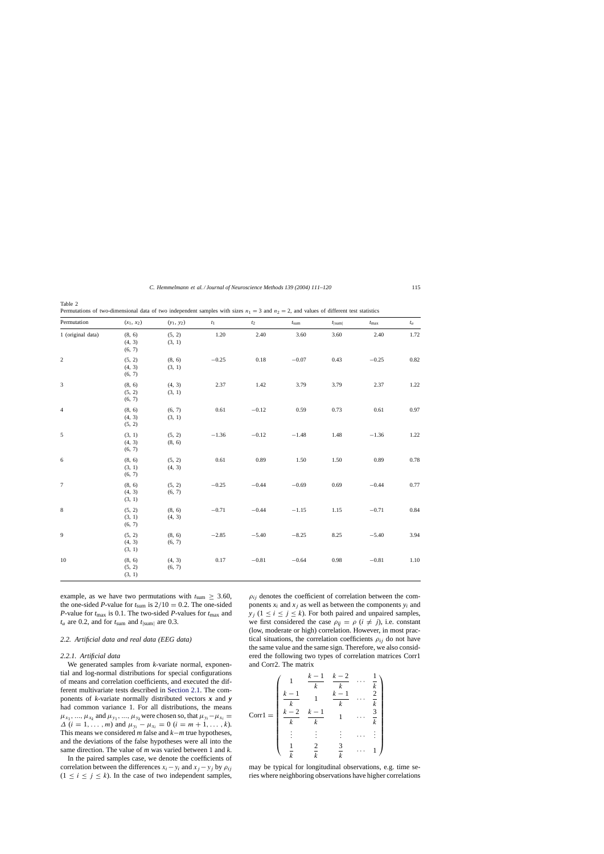<span id="page-4-0"></span>

| Table 2                                                                                                                                      |  |  |  |
|----------------------------------------------------------------------------------------------------------------------------------------------|--|--|--|
| Permutations of two-dimensional data of two independent samples with sizes $n_1 = 3$ and $n_2 = 2$ , and values of different test statistics |  |  |  |

| Permutation       | $(x_1, x_2)$               | $(y_1, y_2)$     | $t_{\rm 1}$ | $t_{\rm 2}$ | $t_{\text{sum}}$ | $t_{\text{sum}}$ | $t_{\mbox{max}}$ | $t_a$    |
|-------------------|----------------------------|------------------|-------------|-------------|------------------|------------------|------------------|----------|
| 1 (original data) | (8, 6)<br>(4, 3)<br>(6, 7) | (5, 2)<br>(3, 1) | 1.20        | 2.40        | 3.60             | 3.60             | 2.40             | 1.72     |
| $\sqrt{2}$        | (5, 2)<br>(4, 3)<br>(6, 7) | (8, 6)<br>(3, 1) | $-0.25$     | $0.18\,$    | $-0.07$          | 0.43             | $-0.25$          | $0.82\,$ |
| $\mathfrak{Z}$    | (8, 6)<br>(5, 2)<br>(6, 7) | (4, 3)<br>(3, 1) | 2.37        | 1.42        | 3.79             | 3.79             | 2.37             | 1.22     |
| $\overline{4}$    | (8, 6)<br>(4, 3)<br>(5, 2) | (6, 7)<br>(3, 1) | 0.61        | $-0.12$     | 0.59             | 0.73             | 0.61             | $0.97\,$ |
| 5                 | (3, 1)<br>(4, 3)<br>(6, 7) | (5, 2)<br>(8, 6) | $-1.36$     | $-0.12$     | $-1.48$          | 1.48             | $-1.36$          | 1.22     |
| $\sqrt{6}$        | (8, 6)<br>(3, 1)<br>(6, 7) | (5, 2)<br>(4, 3) | 0.61        | 0.89        | 1.50             | 1.50             | 0.89             | $0.78\,$ |
| $\tau$            | (8, 6)<br>(4, 3)<br>(3, 1) | (5, 2)<br>(6, 7) | $-0.25$     | $-0.44$     | $-0.69$          | 0.69             | $-0.44$          | 0.77     |
| 8                 | (5, 2)<br>(3, 1)<br>(6, 7) | (8, 6)<br>(4, 3) | $-0.71$     | $-0.44$     | $-1.15$          | 1.15             | $-0.71$          | 0.84     |
| $\overline{9}$    | (5, 2)<br>(4, 3)<br>(3, 1) | (8, 6)<br>(6, 7) | $-2.85$     | $-5.40$     | $-8.25$          | 8.25             | $-5.40$          | 3.94     |
| 10                | (8, 6)<br>(5, 2)<br>(3, 1) | (4, 3)<br>(6, 7) | $0.17\,$    | $-0.81$     | $-0.64$          | 0.98             | $-0.81$          | $1.10\,$ |

example, as we have two permutations with  $t_{\text{sum}} \geq 3.60$ , the one-sided *P*-value for  $t_{\text{sum}}$  is  $2/10 = 0.2$ . The one-sided *P*-value for  $t_{\text{max}}$  is 0.1. The two-sided *P*-values for  $t_{\text{max}}$  and  $t_a$  are 0.2, and for  $t_{\text{sum}}$  and  $t_{\text{sum}}$  are 0.3.

## *2.2. Artificial data and real data (EEG data)*

## *2.2.1. Artificial data*

We generated samples from *k*-variate normal, exponential and log-normal distributions for special configurations of means and correlation coefficients, and executed the different multivariate tests described in [Section 2.1.](#page-1-0) The components of *k*-variate normally distributed vectors *x* and *y* had common variance 1. For all distributions, the means  $\mu_{x_1}, ..., \mu_{x_k}$  and  $\mu_{y_1}, ..., \mu_{y_k}$  were chosen so, that  $\mu_{y_i}-\mu_{x_i} =$  $\Delta$  (*i* = 1, ..., *m*) and  $\mu_{y_i} - \mu_{x_i} = 0$  (*i* = *m* + 1, ..., *k*). This means we considered *m* false and *k*−*m* true hypotheses, and the deviations of the false hypotheses were all into the same direction. The value of *m* was varied between 1 and *k*.

In the paired samples case, we denote the coefficients of correlation between the differences  $x_i - y_i$  and  $x_j - y_j$  by  $\rho_{ij}$  $(1 \le i \le j \le k)$ . In the case of two independent samples,

 $\rho_{ij}$  denotes the coefficient of correlation between the components  $x_i$  and  $x_j$  as well as between the components  $y_i$  and  $y_i$  ( $1 \le i \le j \le k$ ). For both paired and unpaired samples, we first considered the case  $\rho_{ij} = \rho$  ( $i \neq j$ ), i.e. constant (low, moderate or high) correlation. However, in most practical situations, the correlation coefficients  $\rho_{ij}$  do not have the same value and the same sign. Therefore, we also considered the following two types of correlation matrices Corr1 and Corr2. The matrix

$$
\text{Corr1} = \begin{pmatrix} 1 & \frac{k-1}{k} & \frac{k-2}{k} & \cdots & \frac{1}{k} \\ \frac{k-1}{k} & 1 & \frac{k-1}{k} & \cdots & \frac{2}{k} \\ \frac{k-2}{k} & \frac{k-1}{k} & 1 & \cdots & \frac{3}{k} \\ \vdots & \vdots & \vdots & \cdots & \vdots \\ \frac{1}{k} & \frac{2}{k} & \frac{3}{k} & \cdots & 1 \end{pmatrix}
$$

may be typical for longitudinal observations, e.g. time series where neighboring observations have higher correlations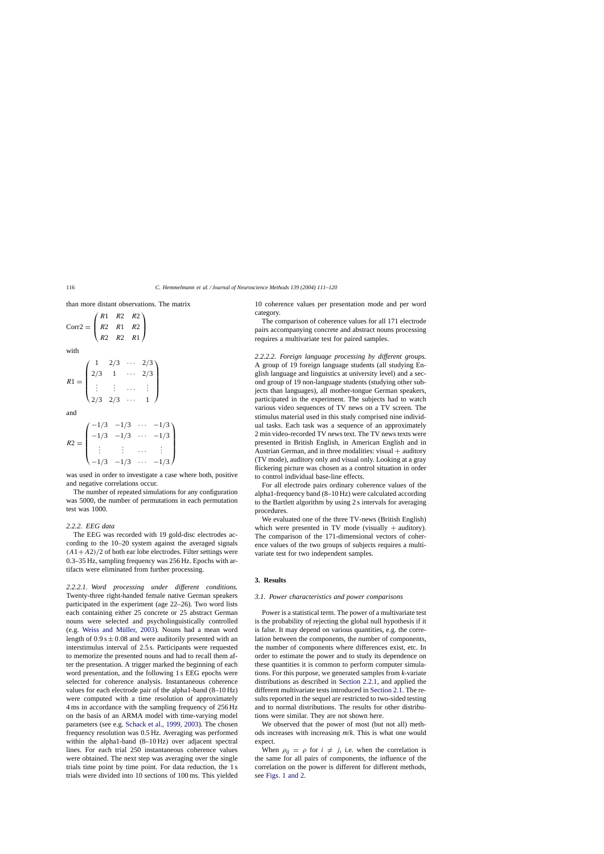<span id="page-5-0"></span>than more distant observations. The matrix

$$
Corr2 = \begin{pmatrix} R1 & R2 & R2 \\ R2 & R1 & R2 \\ R2 & R2 & R1 \end{pmatrix}
$$

with

$$
R1 = \begin{pmatrix} 1 & 2/3 & \cdots & 2/3 \\ 2/3 & 1 & \cdots & 2/3 \\ \vdots & \vdots & \cdots & \vdots \\ 2/3 & 2/3 & \cdots & 1 \end{pmatrix}
$$

and

$$
R2 = \begin{pmatrix} -1/3 & -1/3 & \cdots & -1/3 \\ -1/3 & -1/3 & \cdots & -1/3 \\ \vdots & \vdots & \cdots & \vdots \\ -1/3 & -1/3 & \cdots & -1/3 \end{pmatrix}
$$

was used in order to investigate a case where both, positive and negative correlations occur.

The number of repeated simulations for any configuration was 5000, the number of permutations in each permutation test was 1000.

## *2.2.2. EEG data*

The EEG was recorded with 19 gold-disc electrodes according to the 10–20 system against the averaged signals  $(A1+A2)/2$  of both ear lobe electrodes. Filter settings were 0.3–35 Hz, sampling frequency was 256 Hz. Epochs with artifacts were eliminated from further processing.

*2.2.2.1. Word processing under different conditions.* Twenty-three right-handed female native German speakers participated in the experiment (age 22–26). Two word lists each containing either 25 concrete or 25 abstract German nouns were selected and psycholinguistically controlled (e.g. [Weiss and Müller, 2003\)](#page-9-0). Nouns had a mean word length of  $0.9 s \pm 0.08$  and were auditorily presented with an interstimulus interval of 2.5 s. Participants were requested to memorize the presented nouns and had to recall them after the presentation. A trigger marked the beginning of each word presentation, and the following 1 s EEG epochs were selected for coherence analysis. Instantaneous coherence values for each electrode pair of the alpha1-band (8–10 Hz) were computed with a time resolution of approximately 4 ms in accordance with the sampling frequency of 256 Hz on the basis of an ARMA model with time-varying model parameters (see e.g. [Schack et al., 1999, 2003\).](#page-9-0) The chosen frequency resolution was 0.5 Hz. Averaging was performed within the alpha1-band (8–10 Hz) over adjacent spectral lines. For each trial 250 instantaneous coherence values were obtained. The next step was averaging over the single trials time point by time point. For data reduction, the 1 s trials were divided into 10 sections of 100 ms. This yielded

10 coherence values per presentation mode and per word category.

The comparison of coherence values for all 171 electrode pairs accompanying concrete and abstract nouns processing requires a multivariate test for paired samples.

*2.2.2.2. Foreign language processing by different groups.* A group of 19 foreign language students (all studying English language and linguistics at university level) and a second group of 19 non-language students (studying other subjects than languages), all mother-tongue German speakers, participated in the experiment. The subjects had to watch various video sequences of TV news on a TV screen. The stimulus material used in this study comprised nine individual tasks. Each task was a sequence of an approximately 2 min video-recorded TV news text. The TV news texts were presented in British English, in American English and in Austrian German, and in three modalities: visual  $+$  auditory (TV mode), auditory only and visual only. Looking at a gray flickering picture was chosen as a control situation in order to control individual base-line effects.

For all electrode pairs ordinary coherence values of the alpha1-frequency band (8–10 Hz) were calculated according to the Bartlett algorithm by using 2 s intervals for averaging procedures.

We evaluated one of the three TV-news (British English) which were presented in TV mode (visually  $+$  auditory). The comparison of the 171-dimensional vectors of coherence values of the two groups of subjects requires a multivariate test for two independent samples.

## **3. Results**

## *3.1. Power characteristics and power comparisons*

Power is a statistical term. The power of a multivariate test is the probability of rejecting the global null hypothesis if it is false. It may depend on various quantities, e.g. the correlation between the components, the number of components, the number of components where differences exist, etc. In order to estimate the power and to study its dependence on these quantities it is common to perform computer simulations. For this purpose, we generated samples from *k*-variate distributions as described in [Section 2.2.1,](#page-4-0) and applied the different multivariate tests introduced in [Section 2.1. T](#page-1-0)he results reported in the sequel are restricted to two-sided testing and to normal distributions. The results for other distributions were similar. They are not shown here.

We observed that the power of most (but not all) methods increases with increasing *m*/*k*. This is what one would expect.

When  $\rho_{ij} = \rho$  for  $i \neq j$ , i.e. when the correlation is the same for all pairs of components, the influence of the correlation on the power is different for different methods, see [Figs. 1 and 2.](#page-6-0)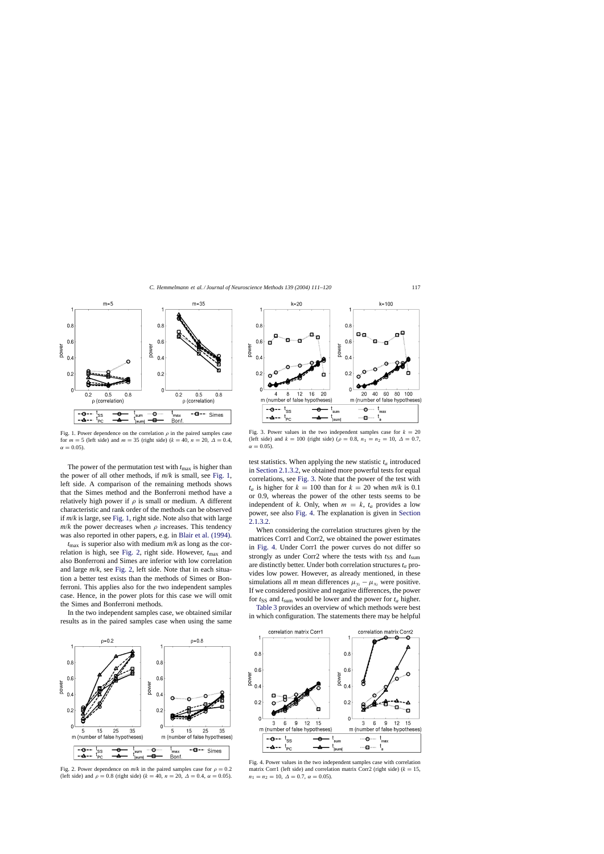<span id="page-6-0"></span>

Fig. 1. Power dependence on the correlation  $\rho$  in the paired samples case for  $m = 5$  (left side) and  $m = 35$  (right side) ( $k = 40$ ,  $n = 20$ ,  $\Delta = 0.4$ ,  $\alpha = 0.05$ ).

The power of the permutation test with  $t_{\text{max}}$  is higher than the power of all other methods, if *m*/*k* is small, see Fig. 1, left side. A comparison of the remaining methods shows that the Simes method and the Bonferroni method have a relatively high power if  $\rho$  is small or medium. A different characteristic and rank order of the methods can be observed if *m*/*k* is large, see Fig. 1, right side. Note also that with large  $m/k$  the power decreases when  $\rho$  increases. This tendency was also reported in other papers, e.g. in [Blair et al. \(1994\).](#page-9-0)

*t*max is superior also with medium *m*/*k* as long as the correlation is high, see Fig. 2, right side. However,  $t_{\text{max}}$  and also Bonferroni and Simes are inferior with low correlation and large *m*/*k*, see Fig. 2, left side. Note that in each situation a better test exists than the methods of Simes or Bonferroni. This applies also for the two independent samples case. Hence, in the power plots for this case we will omit the Simes and Bonferroni methods.

In the two independent samples case, we obtained similar results as in the paired samples case when using the same



Fig. 2. Power dependence on  $m/k$  in the paired samples case for  $\rho = 0.2$ (left side) and  $\rho = 0.8$  (right side) ( $k = 40$ ,  $n = 20$ ,  $\Delta = 0.4$ ,  $\alpha = 0.05$ ).



Fig. 3. Power values in the two independent samples case for  $k = 20$ (left side) and  $k = 100$  (right side) ( $\rho = 0.8$ ,  $n_1 = n_2 = 10$ ,  $\Delta = 0.7$ ,  $\alpha = 0.05$ 

test statistics. When applying the new statistic  $t_a$  introduced in [Section 2.1.3.2, w](#page-3-0)e obtained more powerful tests for equal correlations, see Fig. 3. Note that the power of the test with  $t_a$  is higher for  $k = 100$  than for  $k = 20$  when  $m/k$  is 0.1 or 0.9, whereas the power of the other tests seems to be independent of *k*. Only, when  $m = k$ ,  $t_a$  provides a low power, see also Fig. 4. The explanation is given in [Section](#page-3-0) [2.1.3.2.](#page-3-0)

When considering the correlation structures given by the matrices Corr1 and Corr2, we obtained the power estimates in Fig. 4. Under Corr1 the power curves do not differ so strongly as under Corr2 where the tests with  $t_{SS}$  and  $t_{sum}$ are distinctly better. Under both correlation structures  $t_a$  provides low power. However, as already mentioned, in these simulations all *m* mean differences  $\mu_{y_i} - \mu_{x_i}$  were positive. If we considered positive and negative differences, the power for  $t_{SS}$  and  $t_{sum}$  would be lower and the power for  $t_a$  higher.

[Table 3](#page-7-0) provides an overview of which methods were best in which configuration. The statements there may be helpful



Fig. 4. Power values in the two independent samples case with correlation matrix Corr1 (left side) and correlation matrix Corr2 (right side) ( $k = 15$ ,  $n_1 = n_2 = 10, \Delta = 0.7, \alpha = 0.05$ .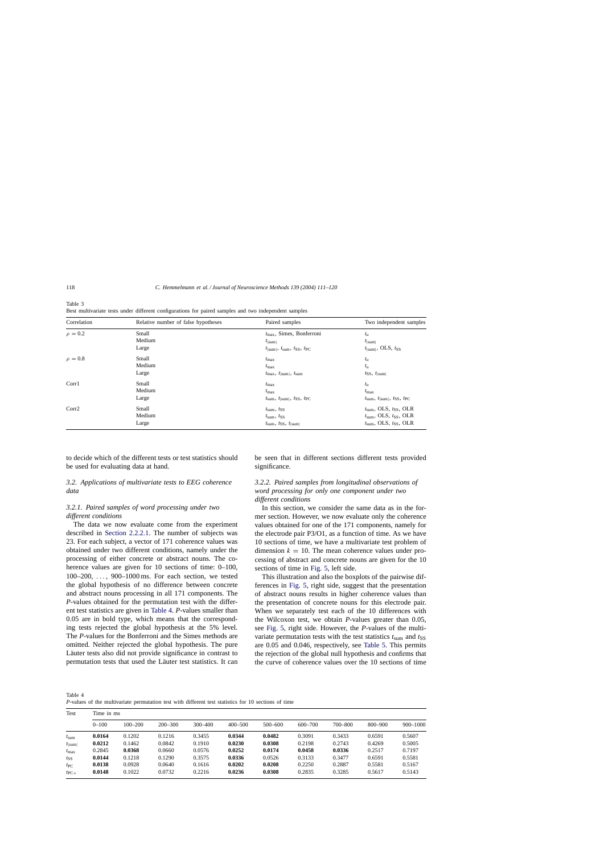<span id="page-7-0"></span>Table 3

| Best multivariate tests under different configurations for paired samples and two independent samples |                                     |                                                      |  |  |
|-------------------------------------------------------------------------------------------------------|-------------------------------------|------------------------------------------------------|--|--|
| Correlation                                                                                           | Relative number of false hypotheses | Paired samples                                       |  |  |
| $\rho = 0.2$                                                                                          | Small<br>Medium                     | $t_{\rm max}$ , Simes, Bonferroni<br>$t_{\rm bound}$ |  |  |

| $\rho = 0.2$ | Small  | $t_{\text{max}}$ , Simes, Bonferroni                                    | $t_a$                                                                   |
|--------------|--------|-------------------------------------------------------------------------|-------------------------------------------------------------------------|
|              | Medium | $t_{\text{sum}}$                                                        | $t_{\text{sum}}$                                                        |
|              | Large  | $t_{\text{sum}}$ , $t_{\text{sum}}$ , $t_{\text{SS}}$ , $t_{\text{PC}}$ | $t_{\text{sum}}$ , OLS, $t_{SS}$                                        |
| $\rho = 0.8$ | Small  | $t_{\rm max}$                                                           | $t_a$                                                                   |
|              | Medium | $t_{\rm max}$                                                           | $t_a$                                                                   |
|              | Large  | $t_{\text{max}}$ , $t_{\text{sum}}$ , $t_{\text{sum}}$                  | $t_{\text{SS}}$ , $t_{\text{sum}}$                                      |
| Corr1        | Small  | $t_{\rm max}$                                                           | $t_a$                                                                   |
|              | Medium | $t_{\rm max}$                                                           | $t_{\rm max}$                                                           |
|              | Large  | $t_{\text{sum}}$ , $t_{\text{sum}}$ , $t_{\text{SS}}$ , $t_{\text{PC}}$ | $t_{\text{sum}}$ , $t_{\text{sum}}$ , $t_{\text{SS}}$ , $t_{\text{PC}}$ |
| Corr2        | Small  | $t_{\text{sum}}, t_{\text{SS}}$                                         | $t_{\text{sum}}$ , OLS, $t_{SS}$ , OLR                                  |
|              | Medium | $t_{\text{sum}}, t_{\text{SS}}$                                         | $t_{\text{sum}}$ , OLS, $t_{SS}$ , OLR                                  |
|              | Large  | $t_{\text{sum}}, t_{\text{SS}}, t_{\text{sum}}$                         | $t_{\text{sum}}$ , OLS, $t_{\text{SS}}$ , OLR                           |

to decide which of the different tests or test statistics should be used for evaluating data at hand.

# *3.2. Applications of multivariate tests to EEG coherence data*

# *3.2.1. Paired samples of word processing under two different conditions*

The data we now evaluate come from the experiment described in [Section 2.2.2.1.](#page-5-0) The number of subjects was 23. For each subject, a vector of 171 coherence values was obtained under two different conditions, namely under the processing of either concrete or abstract nouns. The coherence values are given for 10 sections of time: 0–100, 100–200, ... , 900–1000 ms. For each section, we tested the global hypothesis of no difference between concrete and abstract nouns processing in all 171 components. The *P*-values obtained for the permutation test with the different test statistics are given in Table 4. *P*-values smaller than 0.05 are in bold type, which means that the corresponding tests rejected the global hypothesis at the 5% level. The *P*-values for the Bonferroni and the Simes methods are omitted. Neither rejected the global hypothesis. The pure Läuter tests also did not provide significance in contrast to permutation tests that used the Läuter test statistics. It can be seen that in different sections different tests provided significance.

Two independent samples

# *3.2.2. Paired samples from longitudinal observations of word processing for only one component under two different conditions*

In this section, we consider the same data as in the former section. However, we now evaluate only the coherence values obtained for one of the 171 components, namely for the electrode pair P3/O1, as a function of time. As we have 10 sections of time, we have a multivariate test problem of dimension  $k = 10$ . The mean coherence values under processing of abstract and concrete nouns are given for the 10 sections of time in [Fig. 5,](#page-8-0) left side.

This illustration and also the boxplots of the pairwise differences in [Fig. 5,](#page-8-0) right side, suggest that the presentation of abstract nouns results in higher coherence values than the presentation of concrete nouns for this electrode pair. When we separately test each of the 10 differences with the Wilcoxon test, we obtain *P*-values greater than 0.05, see [Fig. 5,](#page-8-0) right side. However, the *P*-values of the multivariate permutation tests with the test statistics  $t_{\text{sum}}$  and  $t_{\text{SS}}$ are 0.05 and 0.046, respectively, see [Table 5.](#page-8-0) This permits the rejection of the global null hypothesis and confirms that the curve of coherence values over the 10 sections of time

Table 4 *P*-values of the multivariate permutation test with different test statistics for 10 sections of time

| Test             | Time in ms |             |             |             |             |             |             |         |         |          |  |
|------------------|------------|-------------|-------------|-------------|-------------|-------------|-------------|---------|---------|----------|--|
|                  | $0 - 100$  | $100 - 200$ | $200 - 300$ | $300 - 400$ | $400 - 500$ | $500 - 600$ | $600 - 700$ | 700-800 | 800-900 | 900-1000 |  |
| $t_{\text{sum}}$ | 0.0164     | 0.1202      | 0.1216      | 0.3455      | 0.0344      | 0.0482      | 0.3091      | 0.3433  | 0.6591  | 0.5607   |  |
| $t_{\text{sum}}$ | 0.0212     | 0.1462      | 0.0842      | 0.1910      | 0.0230      | 0.0308      | 0.2198      | 0.2743  | 0.4269  | 0.5005   |  |
| $t_{\rm max}$    | 0.2845     | 0.0368      | 0.0660      | 0.0576      | 0.0252      | 0.0174      | 0.0458      | 0.0336  | 0.2517  | 0.7197   |  |
| $t_{SS}$         | 0.0144     | 0.1218      | 0.1290      | 0.3575      | 0.0336      | 0.0526      | 0.3133      | 0.3477  | 0.6591  | 0.5581   |  |
| $t_{PC}$         | 0.0138     | 0.0928      | 0.0640      | 0.1616      | 0.0202      | 0.0208      | 0.2250      | 0.2887  | 0.5581  | 0.5167   |  |
| $tpC+$           | 0.0148     | 0.1022      | 0.0732      | 0.2216      | 0.0236      | 0.0308      | 0.2835      | 0.3285  | 0.5617  | 0.5143   |  |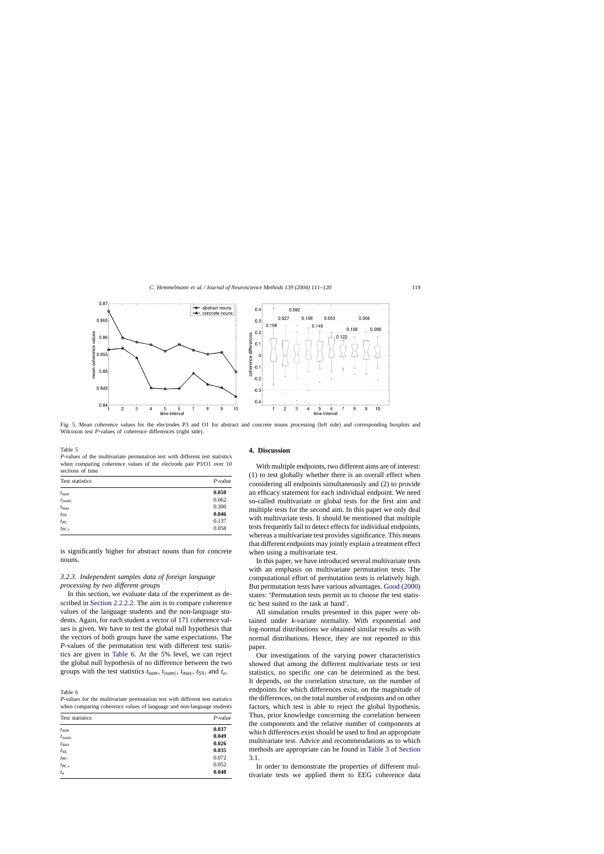<span id="page-8-0"></span>

Fig. 5. Mean coherence values for the electrodes P3 and O1 for abstract and concrete nouns processing (left side) and corresponding boxplots and Wilcoxon test *P*-values of coherence differences (right side).

Table 5

*P*-values of the multivariate permutation test with different test statistics when comparing coherence values of the electrode pair P3/O1 over 10 sections of time

| Test statistics  | $P$ -value |
|------------------|------------|
| $t_{\text{sum}}$ | 0.050      |
| $t_{\text{sum}}$ | 0.062      |
| $t_{\rm max}$    | 0.300      |
| $t_{SS}$         | 0.046      |
| $t_{\rm PC}$     | 0.137      |
| $t_{PC+}$        | 0.058      |
|                  |            |

is significantly higher for abstract nouns than for concrete nouns.

# *3.2.3. Independent samples data of foreign language processing by two different groups*

In this section, we evaluate data of the experiment as described in [Section 2.2.2.2. T](#page-5-0)he aim is to compare coherence values of the language students and the non-language students. Again, for each student a vector of 171 coherence values is given. We have to test the global null hypothesis that the vectors of both groups have the same expectations. The *P*-values of the permutation test with different test statistics are given in Table 6. At the 5% level, we can reject the global null hypothesis of no difference between the two groups with the test statistics  $t_{\text{sum}}$ ,  $t_{\text{sum}}$ ,  $t_{\text{max}}$ ,  $t_{\text{SS}}$ , and  $t_a$ .

Table 6

*P*-values for the multivariate permutation test with different test statistics when comparing coherence values of language and non-language students

| Test statistics  | $P$ -value |
|------------------|------------|
| $t_{\text{sum}}$ | 0.037      |
| $t_{\text{sum}}$ | 0.049      |
| $t_{\rm max}$    | 0.026      |
| $t_{SS}$         | 0.035      |
| $t_{\rm PC}$     | 0.072      |
| $tpC +$          | 0.052      |
| $t_a$            | 0.048      |

#### **4. Discussion**

With multiple endpoints, two different aims are of interest: (1) to test globally whether there is an overall effect when considering all endpoints simultaneously and (2) to provide an efficacy statement for each individual endpoint. We need so-called multivariate or global tests for the first aim and multiple tests for the second aim. In this paper we only deal with multivariate tests. It should be mentioned that multiple tests frequently fail to detect effects for individual endpoints, whereas a multivariate test provides significance. This means that different endpoints may jointly explain a treatment effect when using a multivariate test.

In this paper, we have introduced several multivariate tests with an emphasis on multivariate permutation tests. The computational effort of permutation tests is relatively high. But permutation tests have various advantages. [Good \(2000\)](#page-9-0) states: 'Permutation tests permit us to choose the test statistic best suited to the task at hand'.

All simulation results presented in this paper were obtained under *k*-variate normality. With exponential and log-normal distributions we obtained similar results as with normal distributions. Hence, they are not reported in this paper.

Our investigations of the varying power characteristics showed that among the different multivariate tests or test statistics, no specific one can be determined as the best. It depends, on the correlation structure, on the number of endpoints for which differences exist, on the magnitude of the differences, on the total number of endpoints and on other factors, which test is able to reject the global hypothesis. Thus, prior knowledge concerning the correlation between the components and the relative number of components at which differences exist should be used to find an appropriate multivariate test. Advice and recommendations as to which methods are appropriate can be found in [Table 3](#page-7-0) of [Section](#page-5-0) [3.1.](#page-5-0)

In order to demonstrate the properties of different multivariate tests we applied them to EEG coherence data